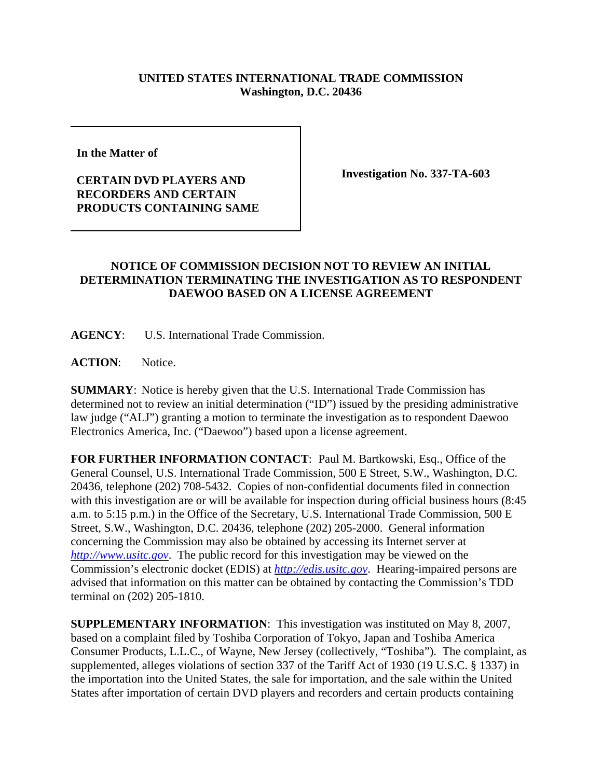## **UNITED STATES INTERNATIONAL TRADE COMMISSION Washington, D.C. 20436**

**In the Matter of** 

## **CERTAIN DVD PLAYERS AND RECORDERS AND CERTAIN PRODUCTS CONTAINING SAME**

**Investigation No. 337-TA-603**

## **NOTICE OF COMMISSION DECISION NOT TO REVIEW AN INITIAL DETERMINATION TERMINATING THE INVESTIGATION AS TO RESPONDENT DAEWOO BASED ON A LICENSE AGREEMENT**

**AGENCY**: U.S. International Trade Commission.

**ACTION**: Notice.

**SUMMARY**: Notice is hereby given that the U.S. International Trade Commission has determined not to review an initial determination ("ID") issued by the presiding administrative law judge ("ALJ") granting a motion to terminate the investigation as to respondent Daewoo Electronics America, Inc. ("Daewoo") based upon a license agreement.

**FOR FURTHER INFORMATION CONTACT**: Paul M. Bartkowski, Esq., Office of the General Counsel, U.S. International Trade Commission, 500 E Street, S.W., Washington, D.C. 20436, telephone (202) 708-5432. Copies of non-confidential documents filed in connection with this investigation are or will be available for inspection during official business hours (8:45 a.m. to 5:15 p.m.) in the Office of the Secretary, U.S. International Trade Commission, 500 E Street, S.W., Washington, D.C. 20436, telephone (202) 205-2000. General information concerning the Commission may also be obtained by accessing its Internet server at *http://www.usitc.gov*. The public record for this investigation may be viewed on the Commission's electronic docket (EDIS) at *http://edis.usitc.gov*. Hearing-impaired persons are advised that information on this matter can be obtained by contacting the Commission's TDD terminal on (202) 205-1810.

**SUPPLEMENTARY INFORMATION**: This investigation was instituted on May 8, 2007, based on a complaint filed by Toshiba Corporation of Tokyo, Japan and Toshiba America Consumer Products, L.L.C., of Wayne, New Jersey (collectively, "Toshiba"). The complaint, as supplemented, alleges violations of section 337 of the Tariff Act of 1930 (19 U.S.C. § 1337) in the importation into the United States, the sale for importation, and the sale within the United States after importation of certain DVD players and recorders and certain products containing